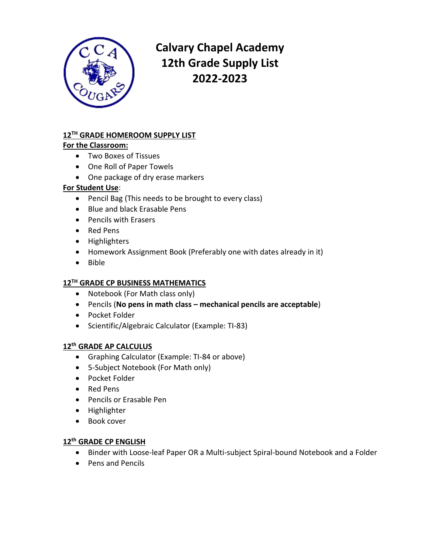

# **Calvary Chapel Academy 12th Grade Supply List 2022-2023**

# **12TH GRADE HOMEROOM SUPPLY LIST**

#### **For the Classroom:**

- Two Boxes of Tissues
- One Roll of Paper Towels
- One package of dry erase markers

## **For Student Use**:

- Pencil Bag (This needs to be brought to every class)
- Blue and black Erasable Pens
- Pencils with Erasers
- Red Pens
- Highlighters
- Homework Assignment Book (Preferably one with dates already in it)
- Bible

# **12TH GRADE CP BUSINESS MATHEMATICS**

- Notebook (For Math class only)
- Pencils (**No pens in math class – mechanical pencils are acceptable**)
- Pocket Folder
- Scientific/Algebraic Calculator (Example: TI-83)

#### **12th GRADE AP CALCULUS**

- Graphing Calculator (Example: TI-84 or above)
- 5-Subject Notebook (For Math only)
- Pocket Folder
- Red Pens
- Pencils or Erasable Pen
- Highlighter
- Book cover

#### **12th GRADE CP ENGLISH**

- Binder with Loose-leaf Paper OR a Multi-subject Spiral-bound Notebook and a Folder
- Pens and Pencils